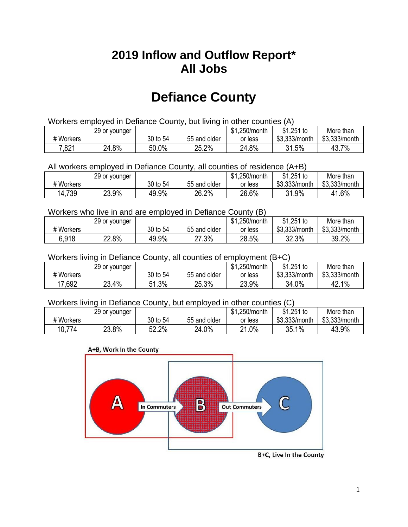## **2019 Inflow and Outflow Report\* All Jobs**

# **Defiance County**

| Workers employed in Defiance County, but living in other counties (A) |                                                            |          |              |         |               |               |  |  |  |
|-----------------------------------------------------------------------|------------------------------------------------------------|----------|--------------|---------|---------------|---------------|--|--|--|
|                                                                       | $$1,251$ to<br>\$1.250/month<br>More than<br>29 or younger |          |              |         |               |               |  |  |  |
| # Workers                                                             |                                                            | 30 to 54 | 55 and older | or less | \$3.333/month | \$3.333/month |  |  |  |
| 7,821                                                                 | 24.8%                                                      | 50.0%    | 25.2%        | 24.8%   | 31.5%         | 43.7%         |  |  |  |

All workers employed in Defiance County, all counties of residence (A+B)

|           | 29 or younger |          |              | \$1,250/month | \$1,251 to    | More than     |
|-----------|---------------|----------|--------------|---------------|---------------|---------------|
| # Workers |               | 30 to 54 | 55 and older | or less       | \$3,333/month | \$3,333/month |
| 14,739    | 23.9%         | 49.9%    | 26.2%        | 26.6%         | 31.9%         | 41.6%         |

#### Workers who live in and are employed in Defiance County (B)

|           | 29 or younger |          |              | \$1,250/month | $$1,251$ to   | More than     |
|-----------|---------------|----------|--------------|---------------|---------------|---------------|
| # Workers |               | 30 to 54 | 55 and older | or less       | \$3,333/month | \$3,333/month |
| 6,918     | 22.8%         | 49.9%    | 27.3%        | 28.5%         | 32.3%         | 39.2%         |

#### Workers living in Defiance County, all counties of employment (B+C)

|           | 29 or younger |             |              | \$1,250/month | \$1,251 to    | More than     |
|-----------|---------------|-------------|--------------|---------------|---------------|---------------|
| # Workers |               | 30 to 54    | 55 and older | or less       | \$3,333/month | \$3,333/month |
| 17,692    | 23.4%         | 1.3%<br>C 1 | 25.3%        | 23.9%         | 34.0%         | 42.1%         |

#### Workers living in Defiance County, but employed in other counties (C)

|              | 29 or younger |          |              | \$1<br>.250/month | $$1,251$ to   | More than     |
|--------------|---------------|----------|--------------|-------------------|---------------|---------------|
| # Workers    |               | 30 to 54 | 55 and older | or less           | \$3,333/month | \$3,333/month |
| 774<br>10.7. | 23.8%         | 52.2%    | 24.0%        | 21.0%             | $1\%$<br>35.1 | 43.9%         |

#### A+B, Work In the County